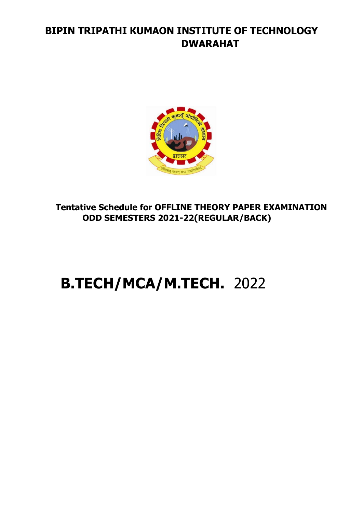## **BIPIN TRIPATHI KUMAON INSTITUTE OF TECHNOLOGY DWARAHAT**



**Tentative Schedule for OFFLINE THEORY PAPER EXAMINATION ODD SEMESTERS 2021-22(REGULAR/BACK)**

# **B.TECH/MCA/M.TECH.** 2022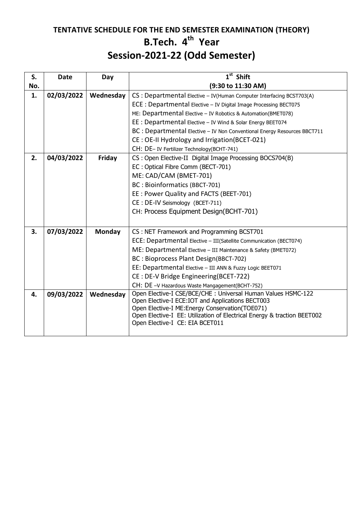### **TENTATIVE SCHEDULE FOR THE END SEMESTER EXAMINATION (THEORY) B.Tech. 4 th Year Session-2021-22 (Odd Semester)**

| S.  | <b>Date</b> | Day       | $1st$ Shift                                                                                                                 |
|-----|-------------|-----------|-----------------------------------------------------------------------------------------------------------------------------|
| No. |             |           | (9:30 to 11:30 AM)                                                                                                          |
| 1.  | 02/03/2022  | Wednesday | CS : Departmental Elective - IV (Human Computer Interfacing BCST703(A)                                                      |
|     |             |           | ECE : Departmental Elective - IV Digital Image Processing BECT075                                                           |
|     |             |           | ME: Departmental Elective - IV Robotics & Automation(BMET078)                                                               |
|     |             |           | EE : Departmental Elective - IV Wind & Solar Energy BEET074                                                                 |
|     |             |           | BC : Departmental Elective - IV Non Conventional Energy Resources BBCT711                                                   |
|     |             |           | CE: OE-II Hydrology and Irrigation(BCET-021)                                                                                |
|     |             |           | CH: DE-IV Fertilizer Technology(BCHT-741)                                                                                   |
| 2.  | 04/03/2022  | Friday    | CS: Open Elective-II Digital Image Processing BOCS704(B)                                                                    |
|     |             |           | EC: Optical Fibre Comm (BECT-701)                                                                                           |
|     |             |           | ME: CAD/CAM (BMET-701)                                                                                                      |
|     |             |           | BC: Bioinformatics (BBCT-701)                                                                                               |
|     |             |           | EE: Power Quality and FACTS (BEET-701)                                                                                      |
|     |             |           | CE : DE-IV Seismology (BCET-711)                                                                                            |
|     |             |           | CH: Process Equipment Design(BCHT-701)                                                                                      |
|     |             |           |                                                                                                                             |
| 3.  | 07/03/2022  | Monday    | CS: NET Framework and Programming BCST701                                                                                   |
|     |             |           | ECE: Departmental Elective - III(Satellite Communication (BECT074)                                                          |
|     |             |           | ME: Departmental Elective - III Maintenance & Safety (BMET072)                                                              |
|     |             |           | BC: Bioprocess Plant Design(BBCT-702)                                                                                       |
|     |             |           | EE: Departmental Elective - III ANN & Fuzzy Logic BEET071                                                                   |
|     |             |           | CE: DE-V Bridge Engineering(BCET-722)                                                                                       |
|     |             |           | CH: DE -V Hazardous Waste Mangagement(BCHT-752)                                                                             |
| 4.  | 09/03/2022  | Wednesday | Open Elective-I CSE/BCE/CHE: Universal Human Values HSMC-122                                                                |
|     |             |           | Open Elective-I ECE: IOT and Applications BECT003                                                                           |
|     |             |           | Open Elective-I ME: Energy Conservation (TOE071)<br>Open Elective-I EE: Utilization of Electrical Energy & traction BEET002 |
|     |             |           | Open Elective-I CE: EIA BCET011                                                                                             |
|     |             |           |                                                                                                                             |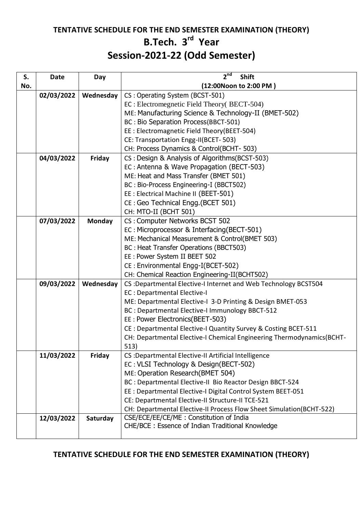### **TENTATIVE SCHEDULE FOR THE END SEMESTER EXAMINATION (THEORY) B.Tech. 3 rd Year Session-2021-22 (Odd Semester)**

| (12:00Noon to 2:00 PM)<br>No.<br>CS: Operating System (BCST-501)<br>02/03/2022<br>Wednesday<br>EC: Electromegnetic Field Theory (BECT-504)<br>ME: Manufacturing Science & Technology-II (BMET-502)<br>BC: Bio Separation Process(BBCT-501)<br>EE : Electromagnetic Field Theory (BEET-504)<br>CE: Transportation Engg-II(BCET-503)<br>CH: Process Dynamics & Control(BCHT-503)<br>CS: Design & Analysis of Algorithms (BCST-503)<br>04/03/2022<br>Friday<br>EC: Antenna & Wave Propagation (BECT-503)<br>ME: Heat and Mass Transfer (BMET 501)<br>BC: Bio-Process Engineering-I (BBCT502)<br>EE : Electrical Machine II (BEET-501)<br>CE: Geo Technical Engg. (BCET 501)<br>CH: MTO-II (BCHT 501)<br>07/03/2022<br>CS: Computer Networks BCST 502<br><b>Monday</b><br>EC: Microprocessor & Interfacing (BECT-501)<br>ME: Mechanical Measurement & Control(BMET 503)<br>BC : Heat Transfer Operations (BBCT503)<br>EE: Power System II BEET 502<br>CE: Environmental Engg-I(BCET-502)<br>CH: Chemical Reaction Engineering-II(BCHT502)<br>09/03/2022<br>Wednesday<br>CS :Departmental Elective-I Internet and Web Technology BCST504<br><b>EC: Departmental Elective-I</b><br>ME: Departmental Elective-I 3-D Printing & Design BMET-053<br>BC : Departmental Elective-I Immunology BBCT-512<br>EE: Power Electronics (BEET-503)<br>CE: Departmental Elective-I Quantity Survey & Costing BCET-511<br>CH: Departmental Elective-I Chemical Engineering Thermodynamics (BCHT-<br>513)<br>11/03/2022<br>Friday<br>CS :Departmental Elective-II Artificial Intelligence<br>EC: VLSI Technology & Design(BECT-502)<br>ME: Operation Research(BMET 504) | S. | <b>Date</b> | Day | 2 <sup>nd</sup><br><b>Shift</b> |  |  |
|---------------------------------------------------------------------------------------------------------------------------------------------------------------------------------------------------------------------------------------------------------------------------------------------------------------------------------------------------------------------------------------------------------------------------------------------------------------------------------------------------------------------------------------------------------------------------------------------------------------------------------------------------------------------------------------------------------------------------------------------------------------------------------------------------------------------------------------------------------------------------------------------------------------------------------------------------------------------------------------------------------------------------------------------------------------------------------------------------------------------------------------------------------------------------------------------------------------------------------------------------------------------------------------------------------------------------------------------------------------------------------------------------------------------------------------------------------------------------------------------------------------------------------------------------------------------------------------------------------------------------------------------------|----|-------------|-----|---------------------------------|--|--|
|                                                                                                                                                                                                                                                                                                                                                                                                                                                                                                                                                                                                                                                                                                                                                                                                                                                                                                                                                                                                                                                                                                                                                                                                                                                                                                                                                                                                                                                                                                                                                                                                                                                   |    |             |     |                                 |  |  |
|                                                                                                                                                                                                                                                                                                                                                                                                                                                                                                                                                                                                                                                                                                                                                                                                                                                                                                                                                                                                                                                                                                                                                                                                                                                                                                                                                                                                                                                                                                                                                                                                                                                   |    |             |     |                                 |  |  |
|                                                                                                                                                                                                                                                                                                                                                                                                                                                                                                                                                                                                                                                                                                                                                                                                                                                                                                                                                                                                                                                                                                                                                                                                                                                                                                                                                                                                                                                                                                                                                                                                                                                   |    |             |     |                                 |  |  |
|                                                                                                                                                                                                                                                                                                                                                                                                                                                                                                                                                                                                                                                                                                                                                                                                                                                                                                                                                                                                                                                                                                                                                                                                                                                                                                                                                                                                                                                                                                                                                                                                                                                   |    |             |     |                                 |  |  |
|                                                                                                                                                                                                                                                                                                                                                                                                                                                                                                                                                                                                                                                                                                                                                                                                                                                                                                                                                                                                                                                                                                                                                                                                                                                                                                                                                                                                                                                                                                                                                                                                                                                   |    |             |     |                                 |  |  |
|                                                                                                                                                                                                                                                                                                                                                                                                                                                                                                                                                                                                                                                                                                                                                                                                                                                                                                                                                                                                                                                                                                                                                                                                                                                                                                                                                                                                                                                                                                                                                                                                                                                   |    |             |     |                                 |  |  |
|                                                                                                                                                                                                                                                                                                                                                                                                                                                                                                                                                                                                                                                                                                                                                                                                                                                                                                                                                                                                                                                                                                                                                                                                                                                                                                                                                                                                                                                                                                                                                                                                                                                   |    |             |     |                                 |  |  |
|                                                                                                                                                                                                                                                                                                                                                                                                                                                                                                                                                                                                                                                                                                                                                                                                                                                                                                                                                                                                                                                                                                                                                                                                                                                                                                                                                                                                                                                                                                                                                                                                                                                   |    |             |     |                                 |  |  |
|                                                                                                                                                                                                                                                                                                                                                                                                                                                                                                                                                                                                                                                                                                                                                                                                                                                                                                                                                                                                                                                                                                                                                                                                                                                                                                                                                                                                                                                                                                                                                                                                                                                   |    |             |     |                                 |  |  |
|                                                                                                                                                                                                                                                                                                                                                                                                                                                                                                                                                                                                                                                                                                                                                                                                                                                                                                                                                                                                                                                                                                                                                                                                                                                                                                                                                                                                                                                                                                                                                                                                                                                   |    |             |     |                                 |  |  |
|                                                                                                                                                                                                                                                                                                                                                                                                                                                                                                                                                                                                                                                                                                                                                                                                                                                                                                                                                                                                                                                                                                                                                                                                                                                                                                                                                                                                                                                                                                                                                                                                                                                   |    |             |     |                                 |  |  |
|                                                                                                                                                                                                                                                                                                                                                                                                                                                                                                                                                                                                                                                                                                                                                                                                                                                                                                                                                                                                                                                                                                                                                                                                                                                                                                                                                                                                                                                                                                                                                                                                                                                   |    |             |     |                                 |  |  |
|                                                                                                                                                                                                                                                                                                                                                                                                                                                                                                                                                                                                                                                                                                                                                                                                                                                                                                                                                                                                                                                                                                                                                                                                                                                                                                                                                                                                                                                                                                                                                                                                                                                   |    |             |     |                                 |  |  |
|                                                                                                                                                                                                                                                                                                                                                                                                                                                                                                                                                                                                                                                                                                                                                                                                                                                                                                                                                                                                                                                                                                                                                                                                                                                                                                                                                                                                                                                                                                                                                                                                                                                   |    |             |     |                                 |  |  |
|                                                                                                                                                                                                                                                                                                                                                                                                                                                                                                                                                                                                                                                                                                                                                                                                                                                                                                                                                                                                                                                                                                                                                                                                                                                                                                                                                                                                                                                                                                                                                                                                                                                   |    |             |     |                                 |  |  |
|                                                                                                                                                                                                                                                                                                                                                                                                                                                                                                                                                                                                                                                                                                                                                                                                                                                                                                                                                                                                                                                                                                                                                                                                                                                                                                                                                                                                                                                                                                                                                                                                                                                   |    |             |     |                                 |  |  |
|                                                                                                                                                                                                                                                                                                                                                                                                                                                                                                                                                                                                                                                                                                                                                                                                                                                                                                                                                                                                                                                                                                                                                                                                                                                                                                                                                                                                                                                                                                                                                                                                                                                   |    |             |     |                                 |  |  |
|                                                                                                                                                                                                                                                                                                                                                                                                                                                                                                                                                                                                                                                                                                                                                                                                                                                                                                                                                                                                                                                                                                                                                                                                                                                                                                                                                                                                                                                                                                                                                                                                                                                   |    |             |     |                                 |  |  |
|                                                                                                                                                                                                                                                                                                                                                                                                                                                                                                                                                                                                                                                                                                                                                                                                                                                                                                                                                                                                                                                                                                                                                                                                                                                                                                                                                                                                                                                                                                                                                                                                                                                   |    |             |     |                                 |  |  |
|                                                                                                                                                                                                                                                                                                                                                                                                                                                                                                                                                                                                                                                                                                                                                                                                                                                                                                                                                                                                                                                                                                                                                                                                                                                                                                                                                                                                                                                                                                                                                                                                                                                   |    |             |     |                                 |  |  |
|                                                                                                                                                                                                                                                                                                                                                                                                                                                                                                                                                                                                                                                                                                                                                                                                                                                                                                                                                                                                                                                                                                                                                                                                                                                                                                                                                                                                                                                                                                                                                                                                                                                   |    |             |     |                                 |  |  |
|                                                                                                                                                                                                                                                                                                                                                                                                                                                                                                                                                                                                                                                                                                                                                                                                                                                                                                                                                                                                                                                                                                                                                                                                                                                                                                                                                                                                                                                                                                                                                                                                                                                   |    |             |     |                                 |  |  |
|                                                                                                                                                                                                                                                                                                                                                                                                                                                                                                                                                                                                                                                                                                                                                                                                                                                                                                                                                                                                                                                                                                                                                                                                                                                                                                                                                                                                                                                                                                                                                                                                                                                   |    |             |     |                                 |  |  |
|                                                                                                                                                                                                                                                                                                                                                                                                                                                                                                                                                                                                                                                                                                                                                                                                                                                                                                                                                                                                                                                                                                                                                                                                                                                                                                                                                                                                                                                                                                                                                                                                                                                   |    |             |     |                                 |  |  |
|                                                                                                                                                                                                                                                                                                                                                                                                                                                                                                                                                                                                                                                                                                                                                                                                                                                                                                                                                                                                                                                                                                                                                                                                                                                                                                                                                                                                                                                                                                                                                                                                                                                   |    |             |     |                                 |  |  |
|                                                                                                                                                                                                                                                                                                                                                                                                                                                                                                                                                                                                                                                                                                                                                                                                                                                                                                                                                                                                                                                                                                                                                                                                                                                                                                                                                                                                                                                                                                                                                                                                                                                   |    |             |     |                                 |  |  |
|                                                                                                                                                                                                                                                                                                                                                                                                                                                                                                                                                                                                                                                                                                                                                                                                                                                                                                                                                                                                                                                                                                                                                                                                                                                                                                                                                                                                                                                                                                                                                                                                                                                   |    |             |     |                                 |  |  |
|                                                                                                                                                                                                                                                                                                                                                                                                                                                                                                                                                                                                                                                                                                                                                                                                                                                                                                                                                                                                                                                                                                                                                                                                                                                                                                                                                                                                                                                                                                                                                                                                                                                   |    |             |     |                                 |  |  |
|                                                                                                                                                                                                                                                                                                                                                                                                                                                                                                                                                                                                                                                                                                                                                                                                                                                                                                                                                                                                                                                                                                                                                                                                                                                                                                                                                                                                                                                                                                                                                                                                                                                   |    |             |     |                                 |  |  |
|                                                                                                                                                                                                                                                                                                                                                                                                                                                                                                                                                                                                                                                                                                                                                                                                                                                                                                                                                                                                                                                                                                                                                                                                                                                                                                                                                                                                                                                                                                                                                                                                                                                   |    |             |     |                                 |  |  |
|                                                                                                                                                                                                                                                                                                                                                                                                                                                                                                                                                                                                                                                                                                                                                                                                                                                                                                                                                                                                                                                                                                                                                                                                                                                                                                                                                                                                                                                                                                                                                                                                                                                   |    |             |     |                                 |  |  |
|                                                                                                                                                                                                                                                                                                                                                                                                                                                                                                                                                                                                                                                                                                                                                                                                                                                                                                                                                                                                                                                                                                                                                                                                                                                                                                                                                                                                                                                                                                                                                                                                                                                   |    |             |     |                                 |  |  |
|                                                                                                                                                                                                                                                                                                                                                                                                                                                                                                                                                                                                                                                                                                                                                                                                                                                                                                                                                                                                                                                                                                                                                                                                                                                                                                                                                                                                                                                                                                                                                                                                                                                   |    |             |     |                                 |  |  |
| BC : Departmental Elective-II Bio Reactor Design BBCT-524                                                                                                                                                                                                                                                                                                                                                                                                                                                                                                                                                                                                                                                                                                                                                                                                                                                                                                                                                                                                                                                                                                                                                                                                                                                                                                                                                                                                                                                                                                                                                                                         |    |             |     |                                 |  |  |
| EE : Departmental Elective-I Digital Control System BEET-051                                                                                                                                                                                                                                                                                                                                                                                                                                                                                                                                                                                                                                                                                                                                                                                                                                                                                                                                                                                                                                                                                                                                                                                                                                                                                                                                                                                                                                                                                                                                                                                      |    |             |     |                                 |  |  |
| CE: Departmental Elective-II Structure-II TCE-521                                                                                                                                                                                                                                                                                                                                                                                                                                                                                                                                                                                                                                                                                                                                                                                                                                                                                                                                                                                                                                                                                                                                                                                                                                                                                                                                                                                                                                                                                                                                                                                                 |    |             |     |                                 |  |  |
| CH: Departmental Elective-II Process Flow Sheet Simulation(BCHT-522)                                                                                                                                                                                                                                                                                                                                                                                                                                                                                                                                                                                                                                                                                                                                                                                                                                                                                                                                                                                                                                                                                                                                                                                                                                                                                                                                                                                                                                                                                                                                                                              |    |             |     |                                 |  |  |
| CSE/ECE/EE/CE/ME : Constitution of India<br>12/03/2022<br>Saturday<br>CHE/BCE: Essence of Indian Traditional Knowledge                                                                                                                                                                                                                                                                                                                                                                                                                                                                                                                                                                                                                                                                                                                                                                                                                                                                                                                                                                                                                                                                                                                                                                                                                                                                                                                                                                                                                                                                                                                            |    |             |     |                                 |  |  |
|                                                                                                                                                                                                                                                                                                                                                                                                                                                                                                                                                                                                                                                                                                                                                                                                                                                                                                                                                                                                                                                                                                                                                                                                                                                                                                                                                                                                                                                                                                                                                                                                                                                   |    |             |     |                                 |  |  |

#### **TENTATIVE SCHEDULE FOR THE END SEMESTER EXAMINATION (THEORY)**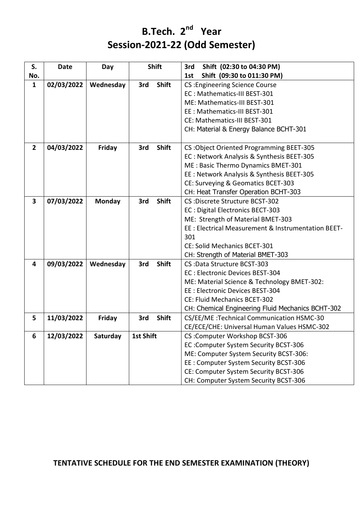# **B.Tech. 2<sup>nd</sup> Year Session-2021-22 (Odd Semester)**

| S.                      | Date       | Day           |                  | <b>Shift</b> | 3rd<br>Shift (02:30 to 04:30 PM)                    |
|-------------------------|------------|---------------|------------------|--------------|-----------------------------------------------------|
| No.                     |            |               |                  |              | Shift (09:30 to 011:30 PM)<br>1st                   |
| $\mathbf{1}$            | 02/03/2022 | Wednesday     | 3rd              | <b>Shift</b> | <b>CS: Engineering Science Course</b>               |
|                         |            |               |                  |              | EC: Mathematics-III BEST-301                        |
|                         |            |               |                  |              | ME: Mathematics-III BEST-301                        |
|                         |            |               |                  |              | EE: Mathematics-III BEST-301                        |
|                         |            |               |                  |              | CE: Mathematics-III BEST-301                        |
|                         |            |               |                  |              | CH: Material & Energy Balance BCHT-301              |
| $\overline{2}$          | 04/03/2022 | Friday        | 3rd              | <b>Shift</b> | CS: Object Oriented Programming BEET-305            |
|                         |            |               |                  |              | EC: Network Analysis & Synthesis BEET-305           |
|                         |            |               |                  |              | ME: Basic Thermo Dynamics BMET-301                  |
|                         |            |               |                  |              | EE : Network Analysis & Synthesis BEET-305          |
|                         |            |               |                  |              | CE: Surveying & Geomatics BCET-303                  |
|                         |            |               |                  |              | CH: Heat Transfer Operation BCHT-303                |
| $\overline{\mathbf{3}}$ | 07/03/2022 | <b>Monday</b> | 3rd              | <b>Shift</b> | CS : Discrete Structure BCST-302                    |
|                         |            |               |                  |              | EC: Digital Electronics BECT-303                    |
|                         |            |               |                  |              | ME: Strength of Material BMET-303                   |
|                         |            |               |                  |              | EE : Electrical Measurement & Instrumentation BEET- |
|                         |            |               |                  |              | 301                                                 |
|                         |            |               |                  |              | CE: Solid Mechanics BCET-301                        |
|                         |            |               |                  |              | CH: Strength of Material BMET-303                   |
| 4                       | 09/03/2022 | Wednesday     | 3rd              | <b>Shift</b> | CS: Data Structure BCST-303                         |
|                         |            |               |                  |              | EC: Electronic Devices BEST-304                     |
|                         |            |               |                  |              | ME: Material Science & Technology BMET-302:         |
|                         |            |               |                  |              | EE: Electronic Devices BEST-304                     |
|                         |            |               |                  |              | CE: Fluid Mechanics BCET-302                        |
|                         |            |               |                  |              | CH: Chemical Engineering Fluid Mechanics BCHT-302   |
| 5                       | 11/03/2022 | Friday        | 3rd              | <b>Shift</b> | CS/EE/ME: Technical Communication HSMC-30           |
|                         |            |               |                  |              | CE/ECE/CHE: Universal Human Values HSMC-302         |
| 6                       | 12/03/2022 | Saturday      | <b>1st Shift</b> |              | CS: Computer Workshop BCST-306                      |
|                         |            |               |                  |              | EC: Computer System Security BCST-306               |
|                         |            |               |                  |              | ME: Computer System Security BCST-306:              |
|                         |            |               |                  |              | EE: Computer System Security BCST-306               |
|                         |            |               |                  |              | CE: Computer System Security BCST-306               |
|                         |            |               |                  |              | CH: Computer System Security BCST-306               |

#### **TENTATIVE SCHEDULE FOR THE END SEMESTER EXAMINATION (THEORY)**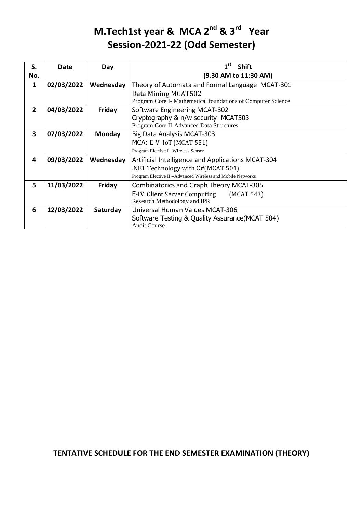# **M.Tech1st year & MCA 2<sup>nd</sup> & 3<sup>rd</sup> Year Session-2021-22 (Odd Semester)**

| S.             | Date       | Day       | 1 <sup>st</sup><br><b>Shift</b>                              |
|----------------|------------|-----------|--------------------------------------------------------------|
| No.            |            |           | (9.30 AM to 11:30 AM)                                        |
| 1              | 02/03/2022 | Wednesday | Theory of Automata and Formal Language MCAT-301              |
|                |            |           | Data Mining MCAT502                                          |
|                |            |           | Program Core I- Mathematical foundations of Computer Science |
| $\overline{2}$ | 04/03/2022 | Friday    | Software Engineering MCAT-302                                |
|                |            |           | Cryptography & n/w security MCAT503                          |
|                |            |           | Program Core II-Advanced Data Structures                     |
| 3              | 07/03/2022 | Monday    | Big Data Analysis MCAT-303                                   |
|                |            |           | MCA: E-V IoT (MCAT 551)                                      |
|                |            |           | Program Elective I-Wireless Sensor                           |
| 4              | 09/03/2022 | Wednesday | Artificial Intelligence and Applications MCAT-304            |
|                |            |           | .NET Technology with C#(MCAT 501)                            |
|                |            |           | Program Elective II-Advanced Wireless and Mobile Networks    |
| 5              | 11/03/2022 | Friday    | <b>Combinatorics and Graph Theory MCAT-305</b>               |
|                |            |           | <b>E-IV Client Server Computing</b><br>(MCAT 543)            |
|                |            |           | Research Methodology and IPR                                 |
| 6              | 12/03/2022 | Saturday  | Universal Human Values MCAT-306                              |
|                |            |           | Software Testing & Quality Assurance (MCAT 504)              |
|                |            |           | <b>Audit Course</b>                                          |

### **TENTATIVE SCHEDULE FOR THE END SEMESTER EXAMINATION (THEORY)**